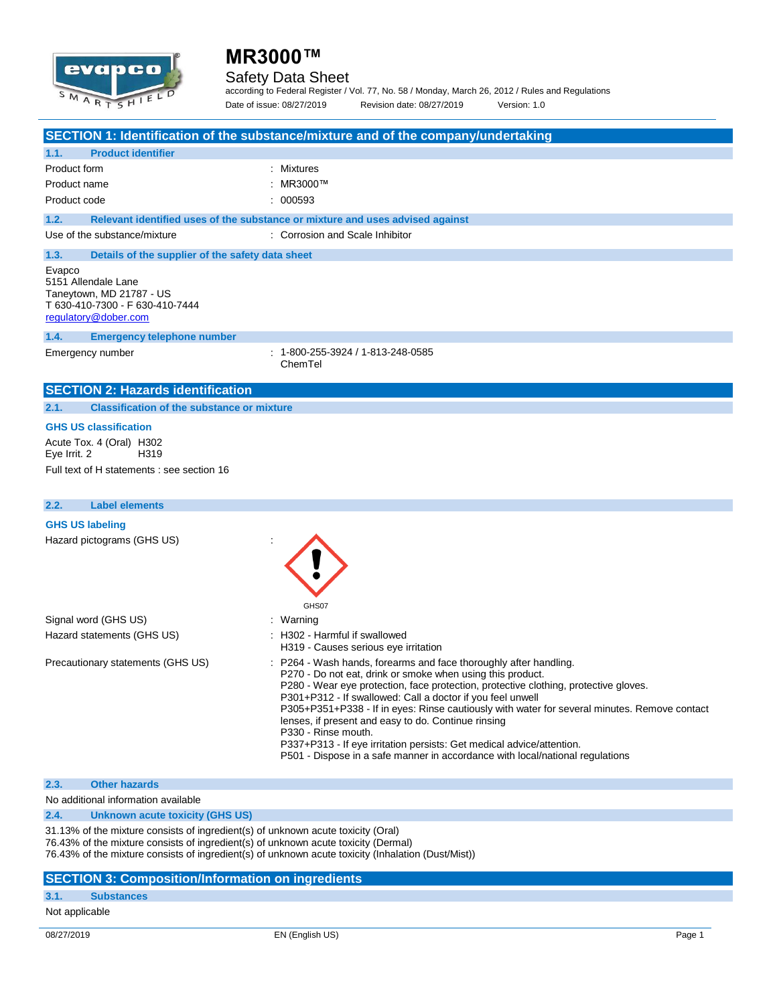# evapca MARTSHIE

## **MR3000™**

### Safety Data Sheet

according to Federal Register / Vol. 77, No. 58 / Monday, March 26, 2012 / Rules and Regulations Date of issue: 08/27/2019 Revision date: 08/27/2019 Version: 1.0

|                                                                                                                                | SECTION 1: Identification of the substance/mixture and of the company/undertaking                                                                                                                                                                                                                                                                                                                                                                                                                                                                                                                                             |
|--------------------------------------------------------------------------------------------------------------------------------|-------------------------------------------------------------------------------------------------------------------------------------------------------------------------------------------------------------------------------------------------------------------------------------------------------------------------------------------------------------------------------------------------------------------------------------------------------------------------------------------------------------------------------------------------------------------------------------------------------------------------------|
| <b>Product identifier</b><br>1.1.                                                                                              |                                                                                                                                                                                                                                                                                                                                                                                                                                                                                                                                                                                                                               |
| Product form<br>Product name<br>Product code                                                                                   | : Mixtures<br>: MR3000™<br>: 000593                                                                                                                                                                                                                                                                                                                                                                                                                                                                                                                                                                                           |
| 1.2.                                                                                                                           | Relevant identified uses of the substance or mixture and uses advised against                                                                                                                                                                                                                                                                                                                                                                                                                                                                                                                                                 |
| Use of the substance/mixture                                                                                                   | : Corrosion and Scale Inhibitor                                                                                                                                                                                                                                                                                                                                                                                                                                                                                                                                                                                               |
| 1.3.<br>Details of the supplier of the safety data sheet                                                                       |                                                                                                                                                                                                                                                                                                                                                                                                                                                                                                                                                                                                                               |
| Evapco<br>5151 Allendale Lane<br>Taneytown, MD 21787 - US<br>T 630-410-7300 - F 630-410-7444<br>regulatory@dober.com           |                                                                                                                                                                                                                                                                                                                                                                                                                                                                                                                                                                                                                               |
| 1.4.<br><b>Emergency telephone number</b>                                                                                      |                                                                                                                                                                                                                                                                                                                                                                                                                                                                                                                                                                                                                               |
| Emergency number                                                                                                               | $: 1 - 800 - 255 - 3924 / 1 - 813 - 248 - 0585$<br>ChemTel                                                                                                                                                                                                                                                                                                                                                                                                                                                                                                                                                                    |
| <b>SECTION 2: Hazards identification</b>                                                                                       |                                                                                                                                                                                                                                                                                                                                                                                                                                                                                                                                                                                                                               |
| <b>Classification of the substance or mixture</b><br>2.1.                                                                      |                                                                                                                                                                                                                                                                                                                                                                                                                                                                                                                                                                                                                               |
| <b>GHS US classification</b><br>Acute Tox. 4 (Oral) H302<br>H319<br>Eye Irrit. 2<br>Full text of H statements : see section 16 |                                                                                                                                                                                                                                                                                                                                                                                                                                                                                                                                                                                                                               |
| 2.2.<br><b>Label elements</b>                                                                                                  |                                                                                                                                                                                                                                                                                                                                                                                                                                                                                                                                                                                                                               |
| <b>GHS US labeling</b><br>Hazard pictograms (GHS US)                                                                           | GHS07                                                                                                                                                                                                                                                                                                                                                                                                                                                                                                                                                                                                                         |
| Signal word (GHS US)                                                                                                           | : Warning                                                                                                                                                                                                                                                                                                                                                                                                                                                                                                                                                                                                                     |
| Hazard statements (GHS US)                                                                                                     | H302 - Harmful if swallowed<br>H319 - Causes serious eye irritation                                                                                                                                                                                                                                                                                                                                                                                                                                                                                                                                                           |
| Precautionary statements (GHS US)                                                                                              | : P264 - Wash hands, forearms and face thoroughly after handling.<br>P270 - Do not eat, drink or smoke when using this product.<br>P280 - Wear eye protection, face protection, protective clothing, protective gloves.<br>P301+P312 - If swallowed: Call a doctor if you feel unwell<br>P305+P351+P338 - If in eyes: Rinse cautiously with water for several minutes. Remove contact<br>lenses, if present and easy to do. Continue rinsing<br>P330 - Rinse mouth.<br>P337+P313 - If eye irritation persists: Get medical advice/attention.<br>P501 - Dispose in a safe manner in accordance with local/national regulations |

#### **2.3. Other hazards**

No additional information available

**2.4. Unknown acute toxicity (GHS US)**

31.13% of the mixture consists of ingredient(s) of unknown acute toxicity (Oral)

76.43% of the mixture consists of ingredient(s) of unknown acute toxicity (Dermal)

76.43% of the mixture consists of ingredient(s) of unknown acute toxicity (Inhalation (Dust/Mist))

#### **SECTION 3: Composition/Information on ingredients**

### **3.1. Substances**

Not applicable

08/27/2019 EN (English US) Page 1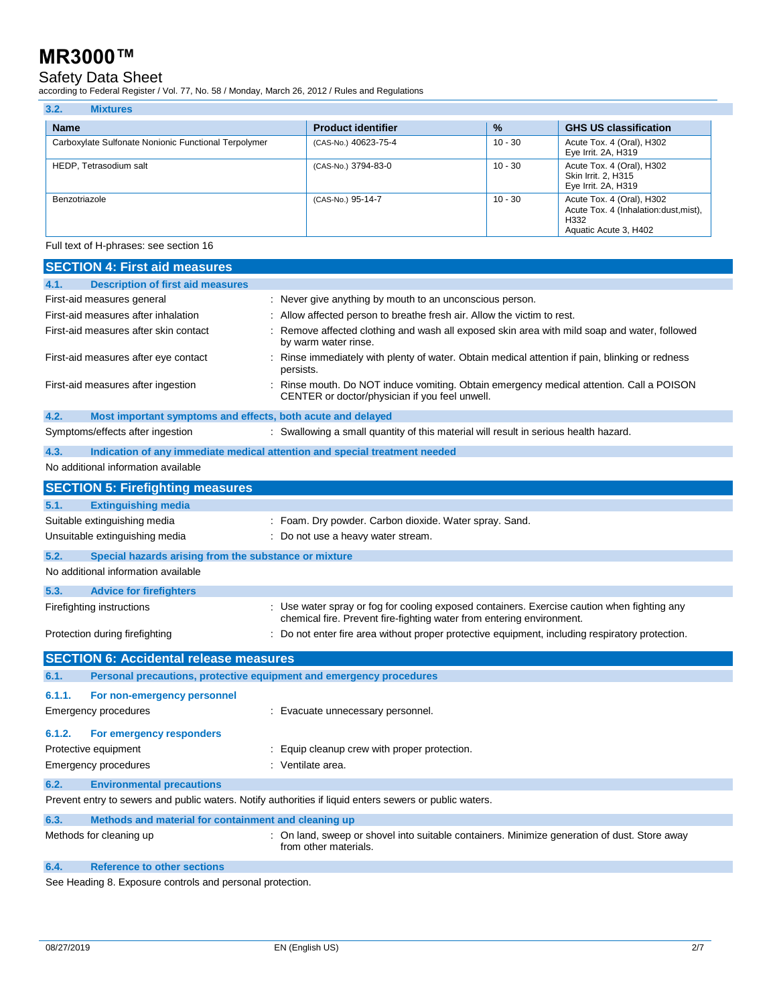### Safety Data Sheet

according to Federal Register / Vol. 77, No. 58 / Monday, March 26, 2012 / Rules and Regulations

| 3.2.<br><b>Mixtures</b>                              |                           |               |                                                                                                      |
|------------------------------------------------------|---------------------------|---------------|------------------------------------------------------------------------------------------------------|
| <b>Name</b>                                          | <b>Product identifier</b> | $\frac{9}{6}$ | <b>GHS US classification</b>                                                                         |
| Carboxylate Sulfonate Nonionic Functional Terpolymer | (CAS-No.) 40623-75-4      | $10 - 30$     | Acute Tox. 4 (Oral), H302<br>Eye Irrit. 2A, H319                                                     |
| HEDP, Tetrasodium salt                               | (CAS-No.) 3794-83-0       | $10 - 30$     | Acute Tox. 4 (Oral), H302<br>Skin Irrit. 2. H315<br>Eye Irrit. 2A, H319                              |
| Benzotriazole                                        | (CAS-No.) 95-14-7         | 10 - 30       | Acute Tox. 4 (Oral), H302<br>Acute Tox. 4 (Inhalation: dust, mist),<br>H332<br>Aquatic Acute 3, H402 |

Full text of H-phrases: see section 16

| <b>SECTION 4: First aid measures</b>                                                                    |                                                                                                                                                                      |
|---------------------------------------------------------------------------------------------------------|----------------------------------------------------------------------------------------------------------------------------------------------------------------------|
| 4.1.<br><b>Description of first aid measures</b>                                                        |                                                                                                                                                                      |
| First-aid measures general                                                                              | : Never give anything by mouth to an unconscious person.                                                                                                             |
| First-aid measures after inhalation                                                                     | Allow affected person to breathe fresh air. Allow the victim to rest.                                                                                                |
| First-aid measures after skin contact                                                                   | Remove affected clothing and wash all exposed skin area with mild soap and water, followed<br>by warm water rinse.                                                   |
| First-aid measures after eye contact                                                                    | : Rinse immediately with plenty of water. Obtain medical attention if pain, blinking or redness<br>persists.                                                         |
| First-aid measures after ingestion                                                                      | : Rinse mouth. Do NOT induce vomiting. Obtain emergency medical attention. Call a POISON<br>CENTER or doctor/physician if you feel unwell.                           |
| 4.2.<br>Most important symptoms and effects, both acute and delayed                                     |                                                                                                                                                                      |
| Symptoms/effects after ingestion                                                                        | : Swallowing a small quantity of this material will result in serious health hazard.                                                                                 |
| 4.3.<br>Indication of any immediate medical attention and special treatment needed                      |                                                                                                                                                                      |
| No additional information available                                                                     |                                                                                                                                                                      |
| <b>SECTION 5: Firefighting measures</b>                                                                 |                                                                                                                                                                      |
| 5.1.<br><b>Extinguishing media</b>                                                                      |                                                                                                                                                                      |
| Suitable extinguishing media                                                                            | : Foam. Dry powder. Carbon dioxide. Water spray. Sand.                                                                                                               |
| Unsuitable extinguishing media                                                                          | : Do not use a heavy water stream.                                                                                                                                   |
| 5.2.<br>Special hazards arising from the substance or mixture                                           |                                                                                                                                                                      |
| No additional information available                                                                     |                                                                                                                                                                      |
| 5.3.<br><b>Advice for firefighters</b>                                                                  |                                                                                                                                                                      |
| Firefighting instructions                                                                               | : Use water spray or fog for cooling exposed containers. Exercise caution when fighting any<br>chemical fire. Prevent fire-fighting water from entering environment. |
| Protection during firefighting                                                                          | : Do not enter fire area without proper protective equipment, including respiratory protection.                                                                      |
| <b>SECTION 6: Accidental release measures</b>                                                           |                                                                                                                                                                      |
| Personal precautions, protective equipment and emergency procedures<br>6.1.                             |                                                                                                                                                                      |
|                                                                                                         |                                                                                                                                                                      |
| 6.1.1.<br>For non-emergency personnel                                                                   |                                                                                                                                                                      |
| Emergency procedures                                                                                    | : Evacuate unnecessary personnel.                                                                                                                                    |
| 6.1.2.<br>For emergency responders                                                                      |                                                                                                                                                                      |
| Protective equipment                                                                                    | : Equip cleanup crew with proper protection.                                                                                                                         |
| <b>Emergency procedures</b>                                                                             | : Ventilate area.                                                                                                                                                    |
| 6.2.<br><b>Environmental precautions</b>                                                                |                                                                                                                                                                      |
| Prevent entry to sewers and public waters. Notify authorities if liquid enters sewers or public waters. |                                                                                                                                                                      |
| 6.3.<br>Methods and material for containment and cleaning up                                            |                                                                                                                                                                      |
| Methods for cleaning up                                                                                 | On land, sweep or shovel into suitable containers. Minimize generation of dust. Store away<br>from other materials.                                                  |

**6.4. Reference to other sections**

See Heading 8. Exposure controls and personal protection.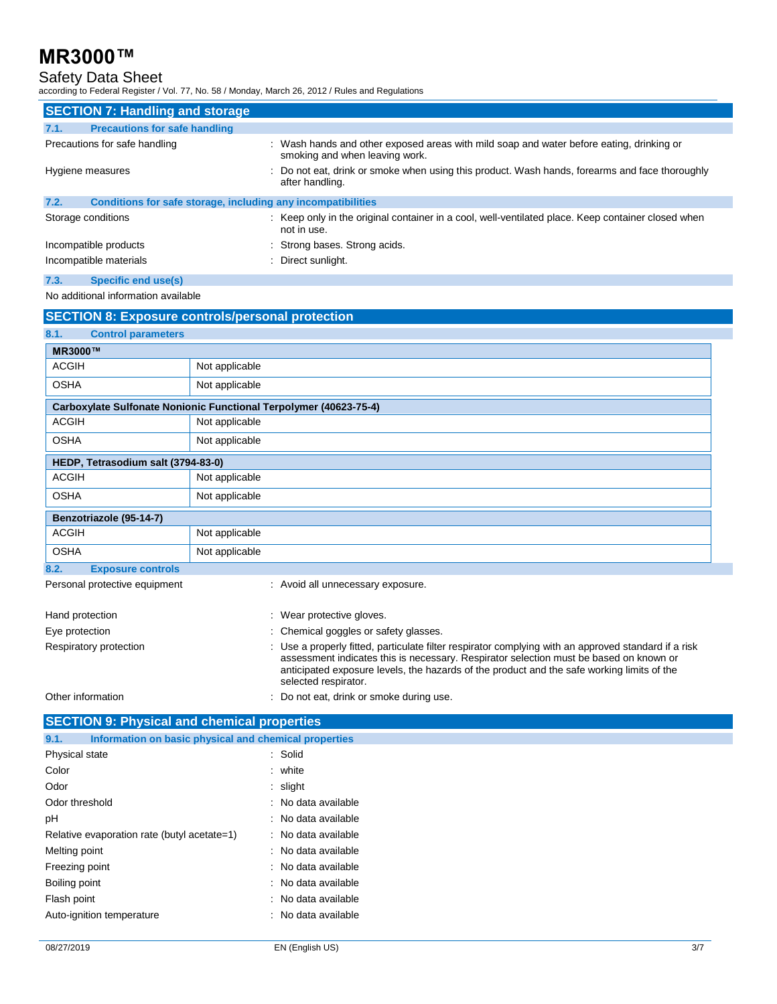### Safety Data Sheet

according to Federal Register / Vol. 77, No. 58 / Monday, March 26, 2012 / Rules and Regulations

| <b>SECTION 7: Handling and storage</b>                               |                                                                                                                            |  |
|----------------------------------------------------------------------|----------------------------------------------------------------------------------------------------------------------------|--|
| <b>Precautions for safe handling</b><br>7.1.                         |                                                                                                                            |  |
| Precautions for safe handling                                        | : Wash hands and other exposed areas with mild soap and water before eating, drinking or<br>smoking and when leaving work. |  |
| Hygiene measures                                                     | : Do not eat, drink or smoke when using this product. Wash hands, forearms and face thoroughly<br>after handling.          |  |
| 7.2.<br>Conditions for safe storage, including any incompatibilities |                                                                                                                            |  |
| Storage conditions                                                   | : Keep only in the original container in a cool, well-ventilated place. Keep container closed when<br>not in use.          |  |
| Incompatible products                                                | : Strong bases. Strong acids.                                                                                              |  |
| Incompatible materials                                               | : Direct sunlight.                                                                                                         |  |
| 7.3.<br>Specific end use(s)                                          |                                                                                                                            |  |

No additional information available

|                                    | <b>SECTION 8: Exposure controls/personal protection</b>                                                                                                                                                                                                                                                              |
|------------------------------------|----------------------------------------------------------------------------------------------------------------------------------------------------------------------------------------------------------------------------------------------------------------------------------------------------------------------|
| 8.1.<br><b>Control parameters</b>  |                                                                                                                                                                                                                                                                                                                      |
| <b>MR3000™</b>                     |                                                                                                                                                                                                                                                                                                                      |
| <b>ACGIH</b>                       | Not applicable                                                                                                                                                                                                                                                                                                       |
| <b>OSHA</b>                        | Not applicable                                                                                                                                                                                                                                                                                                       |
|                                    | Carboxylate Sulfonate Nonionic Functional Terpolymer (40623-75-4)                                                                                                                                                                                                                                                    |
| <b>ACGIH</b>                       | Not applicable                                                                                                                                                                                                                                                                                                       |
| <b>OSHA</b>                        | Not applicable                                                                                                                                                                                                                                                                                                       |
| HEDP, Tetrasodium salt (3794-83-0) |                                                                                                                                                                                                                                                                                                                      |
| <b>ACGIH</b>                       | Not applicable                                                                                                                                                                                                                                                                                                       |
| <b>OSHA</b>                        | Not applicable                                                                                                                                                                                                                                                                                                       |
| Benzotriazole (95-14-7)            |                                                                                                                                                                                                                                                                                                                      |
| <b>ACGIH</b>                       | Not applicable                                                                                                                                                                                                                                                                                                       |
| <b>OSHA</b>                        | Not applicable                                                                                                                                                                                                                                                                                                       |
| 8.2.<br><b>Exposure controls</b>   |                                                                                                                                                                                                                                                                                                                      |
| Personal protective equipment      | : Avoid all unnecessary exposure.                                                                                                                                                                                                                                                                                    |
| Hand protection                    | : Wear protective gloves.                                                                                                                                                                                                                                                                                            |
| Eye protection                     | : Chemical goggles or safety glasses.                                                                                                                                                                                                                                                                                |
| Respiratory protection             | : Use a properly fitted, particulate filter respirator complying with an approved standard if a risk<br>assessment indicates this is necessary. Respirator selection must be based on known or<br>anticipated exposure levels, the hazards of the product and the safe working limits of the<br>selected respirator. |
| Other information                  | Do not eat, drink or smoke during use.                                                                                                                                                                                                                                                                               |

| <b>SECTION 9: Physical and chemical properties</b>            |                     |
|---------------------------------------------------------------|---------------------|
| Information on basic physical and chemical properties<br>9.1. |                     |
| Physical state                                                | : Solid             |
| Color                                                         | : white             |
| Odor                                                          | : slight            |
| Odor threshold                                                | : No data available |
| рH                                                            | : No data available |
| Relative evaporation rate (butyl acetate=1)                   | : No data available |
| Melting point                                                 | : No data available |
| Freezing point                                                | : No data available |
| Boiling point                                                 | : No data available |
| Flash point                                                   | : No data available |
| Auto-ignition temperature                                     | : No data available |
|                                                               |                     |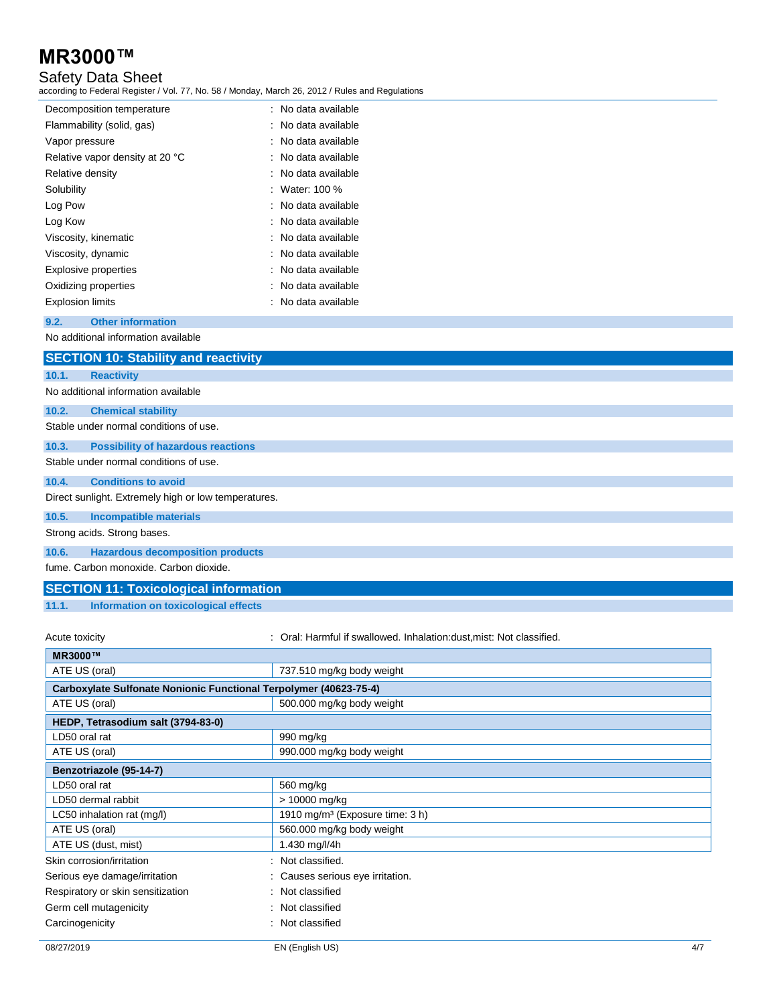### Safety Data Sheet

according to Federal Register / Vol. 77, No. 58 / Monday, March 26, 2012 / Rules and Regulations

| Decomposition temperature       | : No data available |
|---------------------------------|---------------------|
| Flammability (solid, gas)       | : No data available |
| Vapor pressure                  | : No data available |
| Relative vapor density at 20 °C | : No data available |
| Relative density                | : No data available |
| Solubility                      | : Water: 100 $%$    |
| Log Pow                         | : No data available |
| Log Kow                         | : No data available |
| Viscosity, kinematic            | : No data available |
| Viscosity, dynamic              | : No data available |
| Explosive properties            | : No data available |
| Oxidizing properties            | : No data available |
| <b>Explosion limits</b>         | No data available   |

#### **9.2. Other information**

No additional information available

|       | <b>SECTION 10: Stability and reactivity</b>          |
|-------|------------------------------------------------------|
| 10.1. | <b>Reactivity</b>                                    |
|       | No additional information available                  |
| 10.2. | <b>Chemical stability</b>                            |
|       | Stable under normal conditions of use.               |
| 10.3. | <b>Possibility of hazardous reactions</b>            |
|       | Stable under normal conditions of use.               |
| 10.4. | <b>Conditions to avoid</b>                           |
|       | Direct sunlight. Extremely high or low temperatures. |
| 10.5. | <b>Incompatible materials</b>                        |
|       | Strong acids. Strong bases.                          |
| 10.6. | <b>Hazardous decomposition products</b>              |
|       | fume. Carbon monoxide. Carbon dioxide.               |

### **SECTION 11: Toxicological information**

**11.1. Information on toxicological effects**

Acute toxicity **State of the Constant Condition**: Oral: Harmful if swallowed. Inhalation:dust,mist: Not classified.

| <b>MR3000™</b>                                                    |                                             |
|-------------------------------------------------------------------|---------------------------------------------|
| ATE US (oral)                                                     | 737.510 mg/kg body weight                   |
| Carboxylate Sulfonate Nonionic Functional Terpolymer (40623-75-4) |                                             |
| ATE US (oral)                                                     | 500.000 mg/kg body weight                   |
| HEDP, Tetrasodium salt (3794-83-0)                                |                                             |
| LD50 oral rat                                                     | 990 mg/kg                                   |
| ATE US (oral)                                                     | 990.000 mg/kg body weight                   |
| Benzotriazole (95-14-7)                                           |                                             |
| LD50 oral rat                                                     | 560 mg/kg                                   |
| LD50 dermal rabbit                                                | > 10000 mg/kg                               |
| LC50 inhalation rat $(mg/l)$                                      | 1910 mg/m <sup>3</sup> (Exposure time: 3 h) |
| ATE US (oral)                                                     | 560.000 mg/kg body weight                   |
| ATE US (dust, mist)                                               | 1.430 mg/l/4h                               |
| Skin corrosion/irritation                                         | Not classified.<br>÷                        |
| Serious eye damage/irritation                                     | Causes serious eye irritation.              |
| Respiratory or skin sensitization                                 | : Not classified                            |
| Germ cell mutagenicity                                            | Not classified                              |
| Carcinogenicity                                                   | Not classified                              |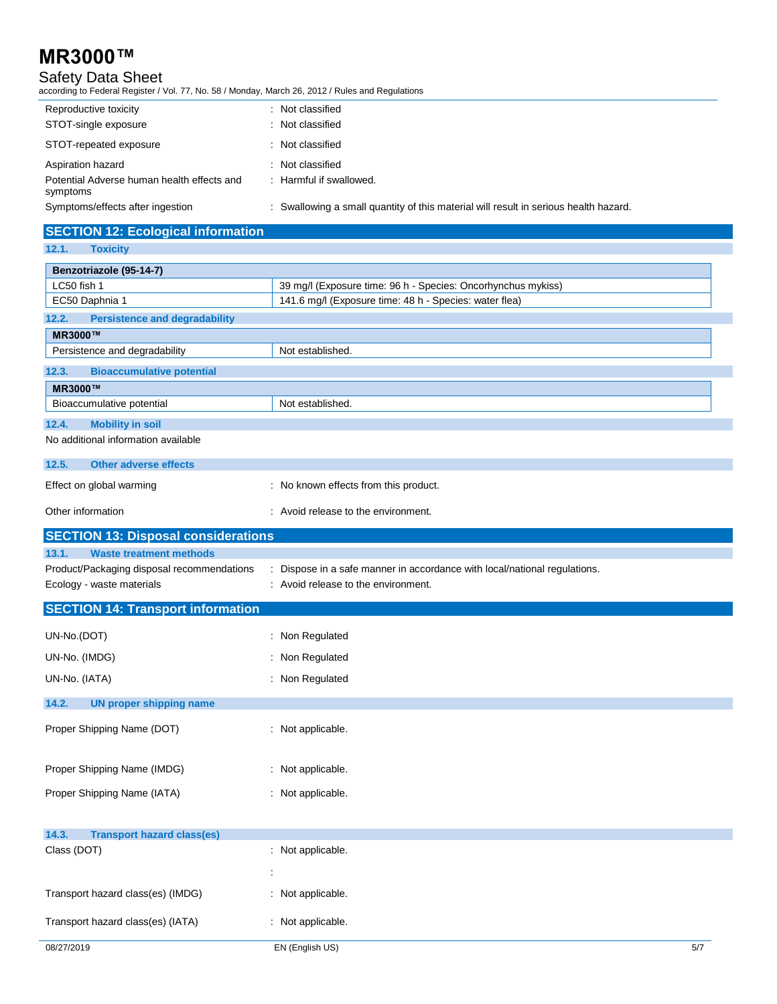### Safety Data Sheet

according to Federal Register / Vol. 77, No. 58 / Monday, March 26, 2012 / Rules and Regulations

| Reproductive toxicity                                  | : Not classified                                                                     |
|--------------------------------------------------------|--------------------------------------------------------------------------------------|
| STOT-single exposure                                   | : Not classified                                                                     |
| STOT-repeated exposure                                 | : Not classified                                                                     |
| Aspiration hazard                                      | : Not classified                                                                     |
| Potential Adverse human health effects and<br>symptoms | : Harmful if swallowed.                                                              |
| Symptoms/effects after ingestion                       | : Swallowing a small quantity of this material will result in serious health hazard. |

| <b>SECTION 12: Ecological information</b>     |                                                                           |
|-----------------------------------------------|---------------------------------------------------------------------------|
| 12.1.<br><b>Toxicity</b>                      |                                                                           |
| Benzotriazole (95-14-7)                       |                                                                           |
| LC50 fish 1                                   | 39 mg/l (Exposure time: 96 h - Species: Oncorhynchus mykiss)              |
| EC50 Daphnia 1                                | 141.6 mg/l (Exposure time: 48 h - Species: water flea)                    |
| <b>Persistence and degradability</b><br>12.2. |                                                                           |
| <b>MR3000™</b>                                |                                                                           |
| Persistence and degradability                 | Not established.                                                          |
| <b>Bioaccumulative potential</b><br>12.3.     |                                                                           |
| <b>MR3000™</b>                                |                                                                           |
| Bioaccumulative potential                     | Not established.                                                          |
| <b>Mobility in soil</b><br>12.4.              |                                                                           |
| No additional information available           |                                                                           |
| 12.5.<br><b>Other adverse effects</b>         |                                                                           |
| Effect on global warming                      | : No known effects from this product.                                     |
| Other information                             | : Avoid release to the environment.                                       |
| <b>SECTION 13: Disposal considerations</b>    |                                                                           |
| 13.1.<br><b>Waste treatment methods</b>       |                                                                           |
| Product/Packaging disposal recommendations    | : Dispose in a safe manner in accordance with local/national regulations. |
| Ecology - waste materials                     | : Avoid release to the environment.                                       |
| <b>SECTION 14: Transport information</b>      |                                                                           |

| Proper Shipping Name (IATA)             | : Not applicable. |  |
|-----------------------------------------|-------------------|--|
|                                         |                   |  |
| Proper Shipping Name (IMDG)             | : Not applicable. |  |
|                                         |                   |  |
| Proper Shipping Name (DOT)              | : Not applicable. |  |
|                                         |                   |  |
| 14.2.<br><b>UN proper shipping name</b> |                   |  |
|                                         |                   |  |
| UN-No. (IATA)                           | : Non Regulated   |  |
| UN-No. (IMDG)                           | : Non Regulated   |  |
|                                         | : Non Regulated   |  |
| UN-No.(DOT)                             |                   |  |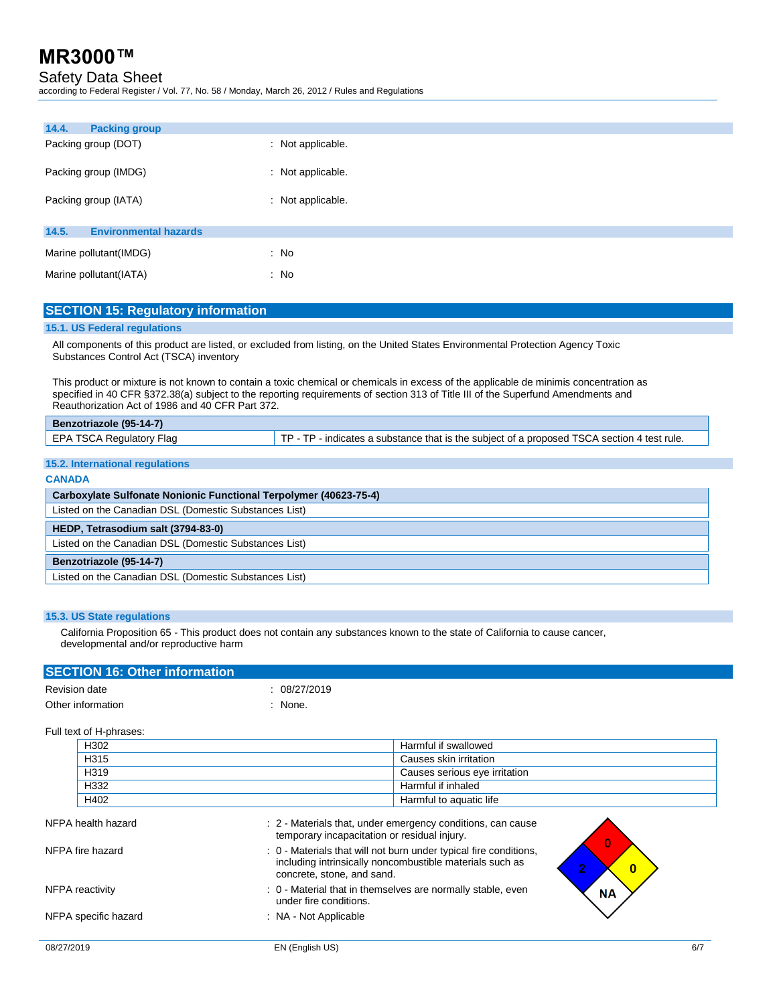### Safety Data Sheet

according to Federal Register / Vol. 77, No. 58 / Monday, March 26, 2012 / Rules and Regulations

| 14.4.<br><b>Packing group</b>         |                   |
|---------------------------------------|-------------------|
| Packing group (DOT)                   | : Not applicable. |
| Packing group (IMDG)                  | : Not applicable. |
| Packing group (IATA)                  | : Not applicable. |
| 14.5.<br><b>Environmental hazards</b> |                   |
| Marine pollutant(IMDG)                | : No              |
| Marine pollutant (IATA)               | : No              |

#### **SECTION 15: Regulatory information**

#### **15.1. US Federal regulations**

All components of this product are listed, or excluded from listing, on the United States Environmental Protection Agency Toxic Substances Control Act (TSCA) inventory

This product or mixture is not known to contain a toxic chemical or chemicals in excess of the applicable de minimis concentration as specified in 40 CFR §372.38(a) subject to the reporting requirements of section 313 of Title III of the Superfund Amendments and Reauthorization Act of 1986 and 40 CFR Part 372.

| Benzotriazole (95-14-7)  |                                                                                             |
|--------------------------|---------------------------------------------------------------------------------------------|
| EPA TSCA Regulatory Flag | TP - TP - indicates a substance that is the subject of a proposed TSCA section 4 test rule. |
|                          |                                                                                             |

#### **15.2. International regulations**

|  | CANADA |  |
|--|--------|--|
|  |        |  |

| Carboxylate Sulfonate Nonionic Functional Terpolymer (40623-75-4) |  |
|-------------------------------------------------------------------|--|
| Listed on the Canadian DSL (Domestic Substances List)             |  |
| HEDP, Tetrasodium salt (3794-83-0)                                |  |
| Listed on the Canadian DSL (Domestic Substances List)             |  |
| Benzotriazole (95-14-7)                                           |  |
| Listed on the Canadian DSL (Domestic Substances List)             |  |

#### **15.3. US State regulations**

California Proposition 65 - This product does not contain any substances known to the state of California to cause cancer, developmental and/or reproductive harm

### **SECTION 16: Other information** Revision date : 08/27/2019 Other information in the contract of the contract of the contract of the contract of the contract of the contract of the contract of the contract of the contract of the contract of the contract of the contract of the contr

#### Full text of H-phrases:

| H302 | Harmful if swallowed          |
|------|-------------------------------|
| H315 | Causes skin irritation        |
| H319 | Causes serious eye irritation |
| H332 | Harmful if inhaled            |
| H402 | Harmful to aquatic life       |

| NFPA health hazard   | : 2 - Materials that, under emergency conditions, can cause<br>temporary incapacitation or residual injury.                                                 |           |
|----------------------|-------------------------------------------------------------------------------------------------------------------------------------------------------------|-----------|
| NFPA fire hazard     | : 0 - Materials that will not burn under typical fire conditions,<br>including intrinsically noncombustible materials such as<br>concrete, stone, and sand. | $\bf{0}$  |
| NFPA reactivity      | : 0 - Material that in themselves are normally stable, even<br>under fire conditions.                                                                       | <b>NA</b> |
| NFPA specific hazard | : NA - Not Applicable                                                                                                                                       |           |
|                      |                                                                                                                                                             |           |